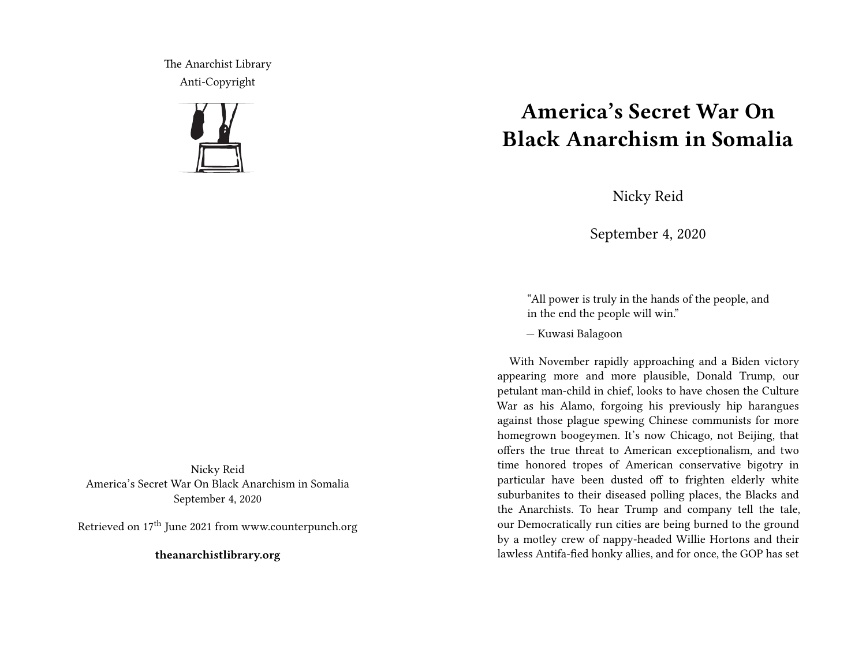The Anarchist Library Anti-Copyright



Nicky Reid America's Secret War On Black Anarchism in Somalia September 4, 2020

Retrieved on 17th June 2021 from www.counterpunch.org

**theanarchistlibrary.org**

## **America's Secret War On Black Anarchism in Somalia**

Nicky Reid

September 4, 2020

"All power is truly in the hands of the people, and in the end the people will win."

— Kuwasi Balagoon

With November rapidly approaching and a Biden victory appearing more and more plausible, Donald Trump, our petulant man-child in chief, looks to have chosen the Culture War as his Alamo, forgoing his previously hip harangues against those plague spewing Chinese communists for more homegrown boogeymen. It's now Chicago, not Beijing, that offers the true threat to American exceptionalism, and two time honored tropes of American conservative bigotry in particular have been dusted off to frighten elderly white suburbanites to their diseased polling places, the Blacks and the Anarchists. To hear Trump and company tell the tale, our Democratically run cities are being burned to the ground by a motley crew of nappy-headed Willie Hortons and their lawless Antifa-fied honky allies, and for once, the GOP has set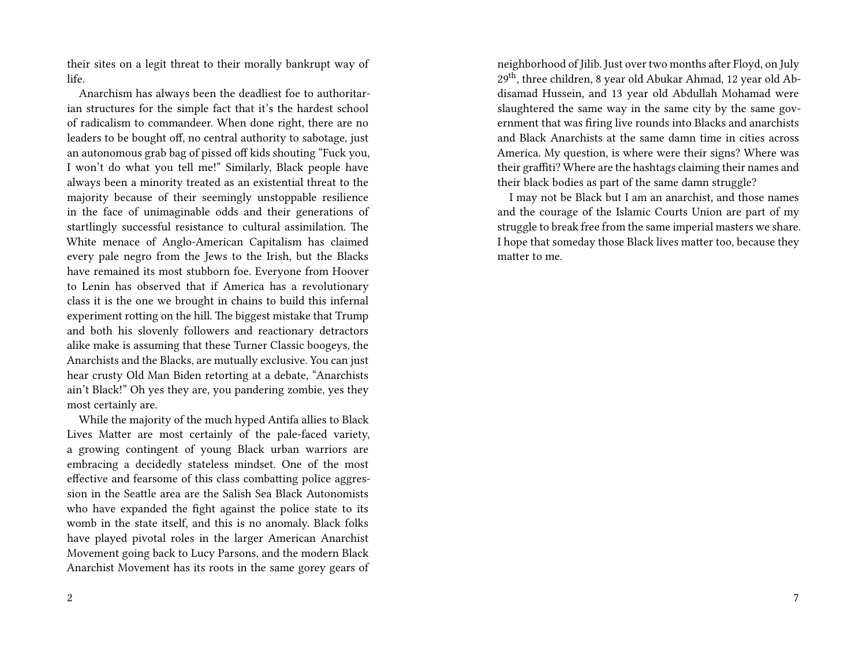their sites on a legit threat to their morally bankrupt way of life.

Anarchism has always been the deadliest foe to authoritarian structures for the simple fact that it's the hardest school of radicalism to commandeer. When done right, there are no leaders to be bought off, no central authority to sabotage, just an autonomous grab bag of pissed off kids shouting "Fuck you, I won't do what you tell me!" Similarly, Black people have always been a minority treated as an existential threat to the majority because of their seemingly unstoppable resilience in the face of unimaginable odds and their generations of startlingly successful resistance to cultural assimilation. The White menace of Anglo-American Capitalism has claimed every pale negro from the Jews to the Irish, but the Blacks have remained its most stubborn foe. Everyone from Hoover to Lenin has observed that if America has a revolutionary class it is the one we brought in chains to build this infernal experiment rotting on the hill. The biggest mistake that Trump and both his slovenly followers and reactionary detractors alike make is assuming that these Turner Classic boogeys, the Anarchists and the Blacks, are mutually exclusive. You can just hear crusty Old Man Biden retorting at a debate, "Anarchists ain't Black!" Oh yes they are, you pandering zombie, yes they most certainly are.

While the majority of the much hyped Antifa allies to Black Lives Matter are most certainly of the pale-faced variety, a growing contingent of young Black urban warriors are embracing a decidedly stateless mindset. One of the most effective and fearsome of this class combatting police aggression in the Seattle area are the Salish Sea Black Autonomists who have expanded the fight against the police state to its womb in the state itself, and this is no anomaly. Black folks have played pivotal roles in the larger American Anarchist Movement going back to Lucy Parsons, and the modern Black Anarchist Movement has its roots in the same gorey gears of

neighborhood of Jilib. Just over two months after Floyd, on July 29th, three children, 8 year old Abukar Ahmad, 12 year old Abdisamad Hussein, and 13 year old Abdullah Mohamad were slaughtered the same way in the same city by the same government that was firing live rounds into Blacks and anarchists and Black Anarchists at the same damn time in cities across America. My question, is where were their signs? Where was their graffiti? Where are the hashtags claiming their names and their black bodies as part of the same damn struggle?

I may not be Black but I am an anarchist, and those names and the courage of the Islamic Courts Union are part of my struggle to break free from the same imperial masters we share. I hope that someday those Black lives matter too, because they matter to me.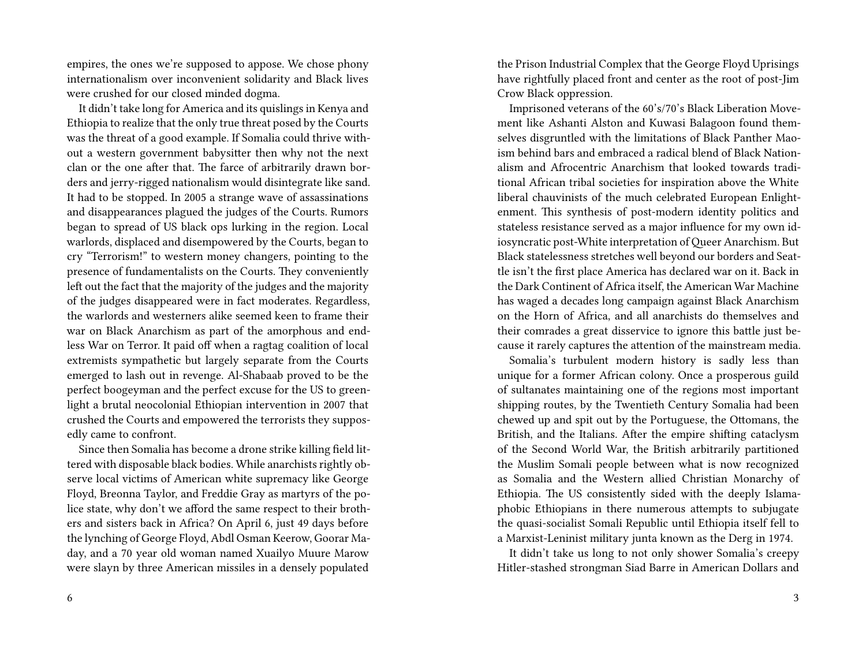empires, the ones we're supposed to appose. We chose phony internationalism over inconvenient solidarity and Black lives were crushed for our closed minded dogma.

It didn't take long for America and its quislings in Kenya and Ethiopia to realize that the only true threat posed by the Courts was the threat of a good example. If Somalia could thrive without a western government babysitter then why not the next clan or the one after that. The farce of arbitrarily drawn borders and jerry-rigged nationalism would disintegrate like sand. It had to be stopped. In 2005 a strange wave of assassinations and disappearances plagued the judges of the Courts. Rumors began to spread of US black ops lurking in the region. Local warlords, displaced and disempowered by the Courts, began to cry "Terrorism!" to western money changers, pointing to the presence of fundamentalists on the Courts. They conveniently left out the fact that the majority of the judges and the majority of the judges disappeared were in fact moderates. Regardless, the warlords and westerners alike seemed keen to frame their war on Black Anarchism as part of the amorphous and endless War on Terror. It paid off when a ragtag coalition of local extremists sympathetic but largely separate from the Courts emerged to lash out in revenge. Al-Shabaab proved to be the perfect boogeyman and the perfect excuse for the US to greenlight a brutal neocolonial Ethiopian intervention in 2007 that crushed the Courts and empowered the terrorists they supposedly came to confront.

Since then Somalia has become a drone strike killing field littered with disposable black bodies. While anarchists rightly observe local victims of American white supremacy like George Floyd, Breonna Taylor, and Freddie Gray as martyrs of the police state, why don't we afford the same respect to their brothers and sisters back in Africa? On April 6, just 49 days before the lynching of George Floyd, Abdl Osman Keerow, Goorar Maday, and a 70 year old woman named Xuailyo Muure Marow were slayn by three American missiles in a densely populated

6

the Prison Industrial Complex that the George Floyd Uprisings have rightfully placed front and center as the root of post-Jim Crow Black oppression.

Imprisoned veterans of the 60's/70's Black Liberation Movement like Ashanti Alston and Kuwasi Balagoon found themselves disgruntled with the limitations of Black Panther Maoism behind bars and embraced a radical blend of Black Nationalism and Afrocentric Anarchism that looked towards traditional African tribal societies for inspiration above the White liberal chauvinists of the much celebrated European Enlightenment. This synthesis of post-modern identity politics and stateless resistance served as a major influence for my own idiosyncratic post-White interpretation of Queer Anarchism. But Black statelessness stretches well beyond our borders and Seattle isn't the first place America has declared war on it. Back in the Dark Continent of Africa itself, the American War Machine has waged a decades long campaign against Black Anarchism on the Horn of Africa, and all anarchists do themselves and their comrades a great disservice to ignore this battle just because it rarely captures the attention of the mainstream media.

Somalia's turbulent modern history is sadly less than unique for a former African colony. Once a prosperous guild of sultanates maintaining one of the regions most important shipping routes, by the Twentieth Century Somalia had been chewed up and spit out by the Portuguese, the Ottomans, the British, and the Italians. After the empire shifting cataclysm of the Second World War, the British arbitrarily partitioned the Muslim Somali people between what is now recognized as Somalia and the Western allied Christian Monarchy of Ethiopia. The US consistently sided with the deeply Islamaphobic Ethiopians in there numerous attempts to subjugate the quasi-socialist Somali Republic until Ethiopia itself fell to a Marxist-Leninist military junta known as the Derg in 1974.

It didn't take us long to not only shower Somalia's creepy Hitler-stashed strongman Siad Barre in American Dollars and